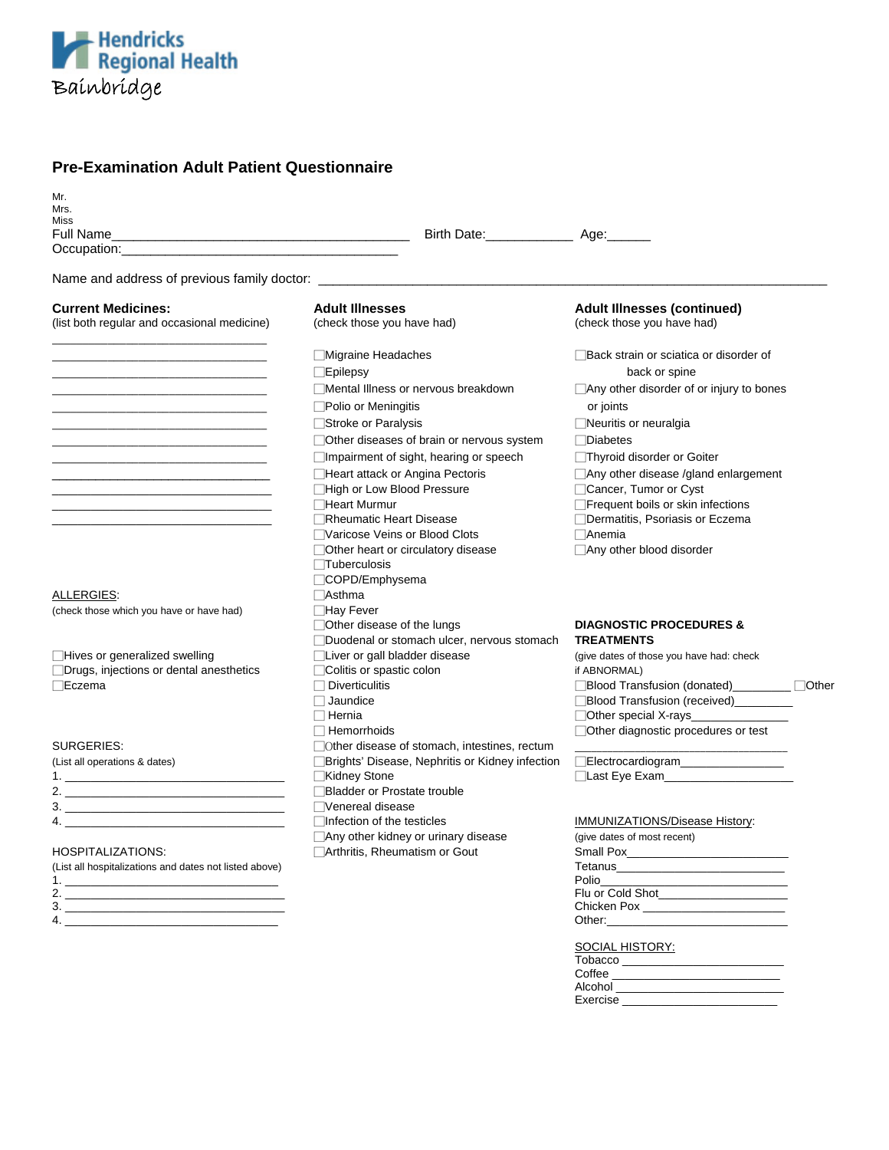

# **Pre-Examination Adult Patient Questionnaire**

| Mr.<br>Mrs.                                                                                                                                                                                                                    |                                                                          |                                                                  |
|--------------------------------------------------------------------------------------------------------------------------------------------------------------------------------------------------------------------------------|--------------------------------------------------------------------------|------------------------------------------------------------------|
| <b>Miss</b>                                                                                                                                                                                                                    |                                                                          |                                                                  |
|                                                                                                                                                                                                                                | Birth Date: ____________________ Age: ________                           |                                                                  |
| Occupation: the contract of the contract of the contract of the contract of the contract of the contract of the contract of the contract of the contract of the contract of the contract of the contract of the contract of th |                                                                          |                                                                  |
|                                                                                                                                                                                                                                |                                                                          |                                                                  |
| <b>Current Medicines:</b><br>(list both regular and occasional medicine)                                                                                                                                                       | <b>Adult Illnesses</b><br>(check those you have had)                     | <b>Adult Illnesses (continued)</b><br>(check those you have had) |
|                                                                                                                                                                                                                                | <b>■Migraine Headaches</b><br>$\Box$ Epilepsy                            | □ Back strain or sciatica or disorder of<br>back or spine        |
|                                                                                                                                                                                                                                | □Mental Illness or nervous breakdown                                     | $\Box$ Any other disorder of or injury to bones                  |
|                                                                                                                                                                                                                                | □Polio or Meningitis                                                     | or joints                                                        |
|                                                                                                                                                                                                                                | □Stroke or Paralysis                                                     | □Neuritis or neuralgia                                           |
|                                                                                                                                                                                                                                | Other diseases of brain or nervous system                                | <b>Diabetes</b>                                                  |
|                                                                                                                                                                                                                                | □Impairment of sight, hearing or speech                                  | □Thyroid disorder or Goiter                                      |
|                                                                                                                                                                                                                                | Heart attack or Angina Pectoris                                          | Any other disease /gland enlargement                             |
|                                                                                                                                                                                                                                | High or Low Blood Pressure                                               | Cancer, Tumor or Cyst                                            |
|                                                                                                                                                                                                                                | <b>□Heart Murmur</b>                                                     | □ Frequent boils or skin infections                              |
|                                                                                                                                                                                                                                | <b>ORheumatic Heart Disease</b>                                          | □ Dermatitis, Psoriasis or Eczema                                |
|                                                                                                                                                                                                                                | □Varicose Veins or Blood Clots                                           | $\Box$ Anemia                                                    |
|                                                                                                                                                                                                                                | Other heart or circulatory disease                                       | Any other blood disorder                                         |
|                                                                                                                                                                                                                                | $\Box$ Tuberculosis                                                      |                                                                  |
|                                                                                                                                                                                                                                | □COPD/Emphysema                                                          |                                                                  |
| ALLERGIES:                                                                                                                                                                                                                     | $\Box$ Asthma                                                            |                                                                  |
| (check those which you have or have had)                                                                                                                                                                                       | □Hay Fever                                                               |                                                                  |
|                                                                                                                                                                                                                                | Other disease of the lungs<br>Duodenal or stomach ulcer, nervous stomach | <b>DIAGNOSTIC PROCEDURES &amp;</b><br><b>TREATMENTS</b>          |
| Hives or generalized swelling                                                                                                                                                                                                  | □Liver or gall bladder disease                                           | (give dates of those you have had: check                         |
| □Drugs, injections or dental anesthetics                                                                                                                                                                                       | □ Colitis or spastic colon                                               | if ABNORMAL)                                                     |
| ⊟Eczema                                                                                                                                                                                                                        | $\Box$ Diverticulitis                                                    |                                                                  |
|                                                                                                                                                                                                                                | $\Box$ Jaundice                                                          | Blood Transfusion (received) ________                            |
|                                                                                                                                                                                                                                | $\Box$ Hernia                                                            | $\Box$ Other special X-rays                                      |
| <b>SURGERIES:</b>                                                                                                                                                                                                              | $\Box$ Hemorrhoids<br>□ Other disease of stomach, intestines, rectum     | Other diagnostic procedures or test                              |
| (List all operations & dates)                                                                                                                                                                                                  | □ Brights' Disease, Nephritis or Kidney infection                        | Electrocardiogram________________                                |
|                                                                                                                                                                                                                                | □Kidney Stone                                                            |                                                                  |
|                                                                                                                                                                                                                                | □ Bladder or Prostate trouble                                            |                                                                  |
| 3.                                                                                                                                                                                                                             | □Venereal disease                                                        |                                                                  |
|                                                                                                                                                                                                                                | □Infection of the testicles                                              | IMMUNIZATIONS/Disease History:                                   |
|                                                                                                                                                                                                                                | Any other kidney or urinary disease                                      | (give dates of most recent)                                      |
| <b>HOSPITALIZATIONS:</b>                                                                                                                                                                                                       | Arthritis, Rheumatism or Gout                                            |                                                                  |
| (List all hospitalizations and dates not listed above)                                                                                                                                                                         |                                                                          |                                                                  |
| 1.                                                                                                                                                                                                                             |                                                                          | <b>Polio</b>                                                     |
|                                                                                                                                                                                                                                |                                                                          | Flu or Cold Shot______________________                           |
| 4.                                                                                                                                                                                                                             |                                                                          | Other:                                                           |
|                                                                                                                                                                                                                                |                                                                          |                                                                  |

SOCIAL HISTORY:

Coffee \_\_\_\_\_\_\_\_\_\_\_\_\_\_\_\_\_\_\_\_\_\_\_\_\_\_

Exercise \_\_\_\_\_\_\_\_\_\_\_\_\_\_\_\_\_\_\_\_\_\_\_\_

 $\blacksquare$   $\blacksquare$   $\blacksquare$   $\blacksquare$   $\blacksquare$   $\blacksquare$   $\blacksquare$   $\blacksquare$   $\blacksquare$   $\blacksquare$   $\blacksquare$   $\blacksquare$   $\blacksquare$   $\blacksquare$   $\blacksquare$   $\blacksquare$   $\blacksquare$   $\blacksquare$   $\blacksquare$   $\blacksquare$   $\blacksquare$   $\blacksquare$   $\blacksquare$   $\blacksquare$   $\blacksquare$   $\blacksquare$   $\blacksquare$   $\blacksquare$   $\blacksquare$   $\blacksquare$   $\blacksquare$   $\blacks$ 

Tobacco \_\_\_\_\_\_\_\_\_\_\_\_\_\_\_\_\_\_\_\_\_\_\_\_\_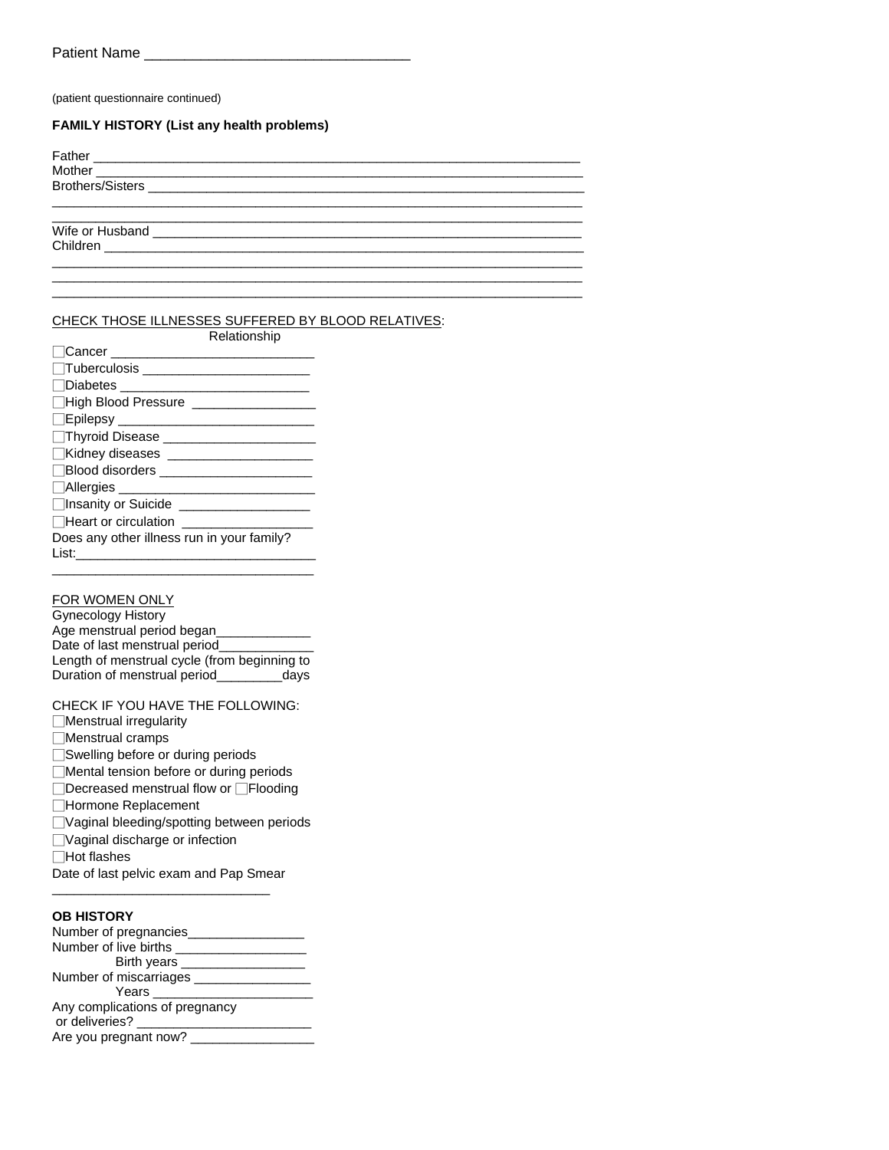(patient questionnaire continued)

#### **FAMILY HISTORY (List any health problems)**

#### CHECK THOSE ILLNESSES SUFFERED BY BLOOD RELATIVES:

| Relationship                                                                                                                                                                                                                  |
|-------------------------------------------------------------------------------------------------------------------------------------------------------------------------------------------------------------------------------|
| $\Box$ Cancer                                                                                                                                                                                                                 |
| □Tuberculosis ____________________                                                                                                                                                                                            |
| □Diabetes <u>■ Diabetes</u>                                                                                                                                                                                                   |
|                                                                                                                                                                                                                               |
|                                                                                                                                                                                                                               |
| Thyroid Disease <b>container the Contract of Thyroid Disease</b>                                                                                                                                                              |
| Kidney diseases ____________________                                                                                                                                                                                          |
| □Blood disorders and the set of the set of the set of the set of the set of the set of the set of the set of the set of the set of the set of the set of the set of the set of the set of the set of the set of the set of th |
| $\Box$ Allergies<br><u> 1980 - Johann Barnett, fransk politiker</u>                                                                                                                                                           |
| □Insanity or Suicide National Action of Suicide                                                                                                                                                                               |
| $\Box$ Heart or circulation                                                                                                                                                                                                   |
| Does any other illness run in your family?                                                                                                                                                                                    |
| List: .                                                                                                                                                                                                                       |

## FOR WOMEN ONLY

Gynecology History Age menstrual period began\_\_\_\_\_\_\_\_\_\_\_\_\_ Date of last menstrual period\_ Length of menstrual cycle (from beginning to Duration of menstrual period\_\_\_\_\_\_\_\_\_days

CHECK IF YOU HAVE THE FOLLOWING:

- □Menstrual irregularity
- □Menstrual cramps
- □Swelling before or during periods
- □Mental tension before or during periods
- □Decreased menstrual flow or □Flooding
- □Hormone Replacement
- □Vaginal bleeding/spotting between periods
- □Vaginal discharge or infection
- □Hot flashes
- Date of last pelvic exam and Pap Smear \_\_\_\_\_\_\_\_\_\_\_\_\_\_\_\_\_\_\_\_\_\_\_\_\_\_\_\_\_\_

### **OB HISTORY**

| Number of pregnancies_         |
|--------------------------------|
| Number of live births          |
| Birth years _____              |
| Number of miscarriages ___     |
| Years                          |
| Any complications of pregnancy |
| or deliveries?                 |
| Are you pregnant now?          |